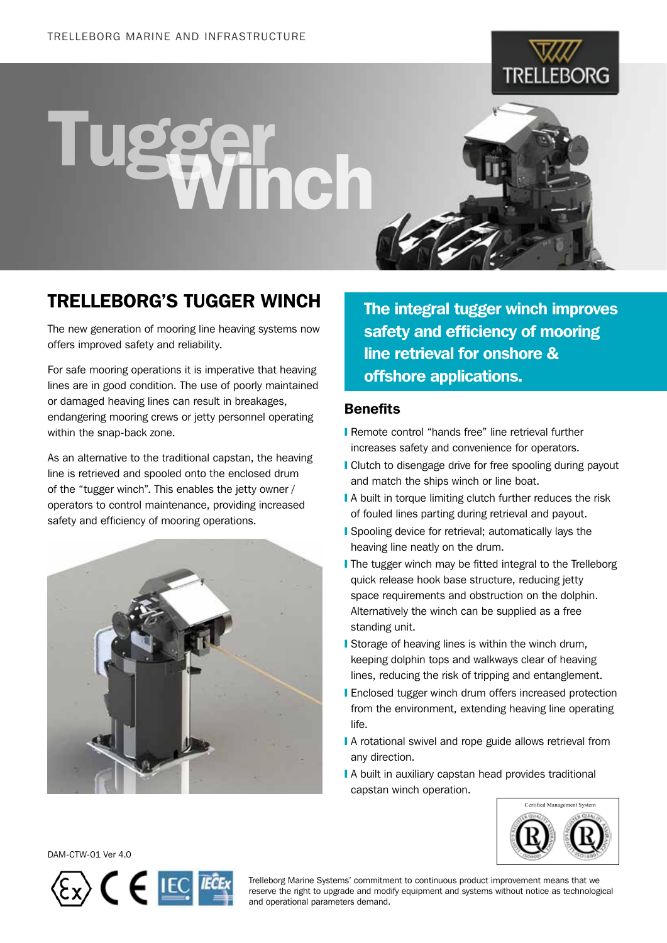

## Tugger Winch

## TRELLEBORG'S Tugger Winch

The new generation of mooring line heaving systems now offers improved safety and reliability.

For safe mooring operations it is imperative that heaving lines are in good condition. The use of poorly maintained or damaged heaving lines can result in breakages, endangering mooring crews or jetty personnel operating within the snap-back zone.

As an alternative to the traditional capstan, the heaving line is retrieved and spooled onto the enclosed drum of the "tugger winch". This enables the jetty owner / operators to control maintenance, providing increased safety and efficiency of mooring operations.



The integral tugger winch improves safety and efficiency of mooring line retrieval for onshore & offshore applications.

## **Benefits**

- ❙ Remote control "hands free" line retrieval further increases safety and convenience for operators.
- **I** Clutch to disengage drive for free spooling during payout and match the ships winch or line boat.
- A built in torque limiting clutch further reduces the risk of fouled lines parting during retrieval and payout.
- ❙ Spooling device for retrieval; automatically lays the heaving line neatly on the drum.
- **I** The tugger winch may be fitted integral to the Trelleborg quick release hook base structure, reducing jetty space requirements and obstruction on the dolphin. Alternatively the winch can be supplied as a free standing unit.
- ❙ Storage of heaving lines is within the winch drum, keeping dolphin tops and walkways clear of heaving lines, reducing the risk of tripping and entanglement.
- **I** Enclosed tugger winch drum offers increased protection from the environment, extending heaving line operating life.
- A rotational swivel and rope guide allows retrieval from any direction.
- A built in auxiliary capstan head provides traditional capstan winch operation.



DAM-CTW-01 Ver 4.0



Trelleborg Marine Systems' commitment to continuous product improvement means that we reserve the right to upgrade and modify equipment and systems without notice as technological and operational parameters demand.